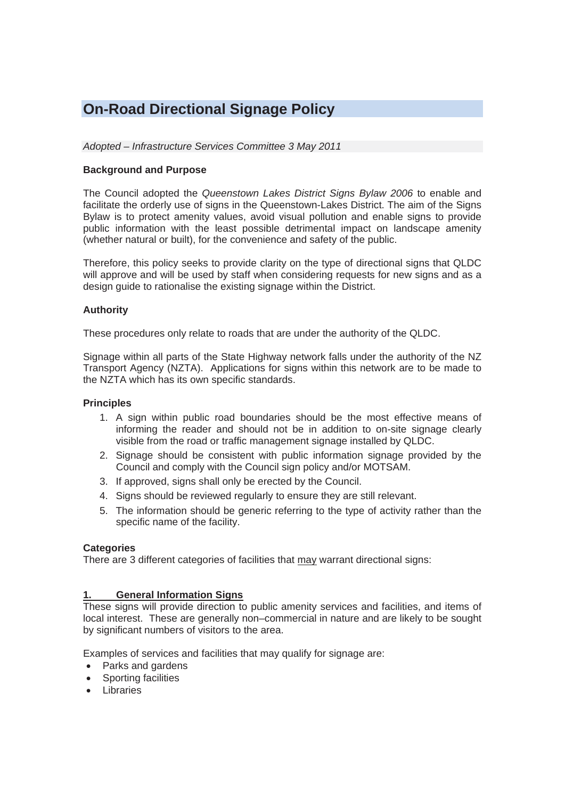# **On-Road Directional Signage Policy**

*Adopted – Infrastructure Services Committee 3 May 2011* 

# **Background and Purpose**

The Council adopted the *Queenstown Lakes District Signs Bylaw 2006* to enable and facilitate the orderly use of signs in the Queenstown-Lakes District. The aim of the Signs Bylaw is to protect amenity values, avoid visual pollution and enable signs to provide public information with the least possible detrimental impact on landscape amenity (whether natural or built), for the convenience and safety of the public.

Therefore, this policy seeks to provide clarity on the type of directional signs that QLDC will approve and will be used by staff when considering requests for new signs and as a design guide to rationalise the existing signage within the District.

# **Authority**

These procedures only relate to roads that are under the authority of the QLDC.

Signage within all parts of the State Highway network falls under the authority of the NZ Transport Agency (NZTA). Applications for signs within this network are to be made to the NZTA which has its own specific standards.

## **Principles**

- 1. A sign within public road boundaries should be the most effective means of informing the reader and should not be in addition to on-site signage clearly visible from the road or traffic management signage installed by QLDC.
- 2. Signage should be consistent with public information signage provided by the Council and comply with the Council sign policy and/or MOTSAM.
- 3. If approved, signs shall only be erected by the Council.
- 4. Signs should be reviewed regularly to ensure they are still relevant.
- 5. The information should be generic referring to the type of activity rather than the specific name of the facility.

### **Categories**

There are 3 different categories of facilities that may warrant directional signs:

### **1. General Information Signs**

These signs will provide direction to public amenity services and facilities, and items of local interest. These are generally non–commercial in nature and are likely to be sought by significant numbers of visitors to the area.

Examples of services and facilities that may qualify for signage are:

- Parks and gardens
- Sporting facilities
- Libraries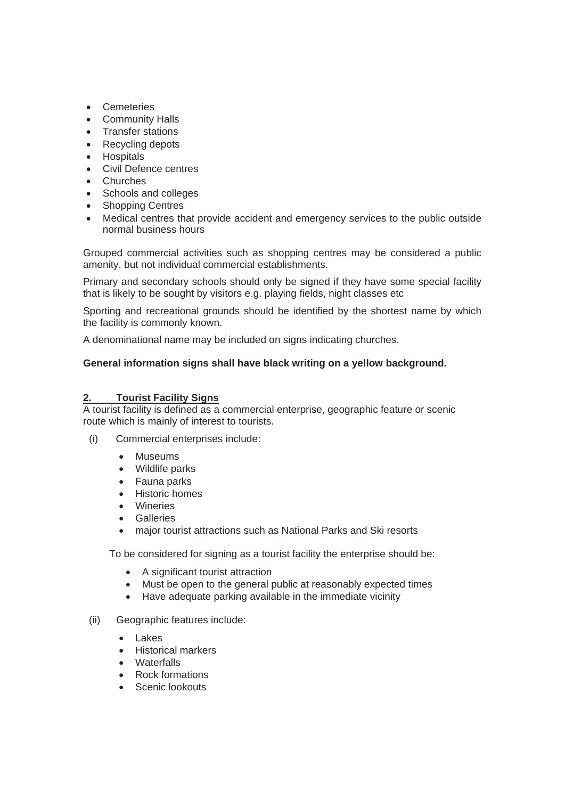- Cemeteries
- Community Halls
- Transfer stations
- Recycling depots
- Hospitals
- Civil Defence centres
- **Churches**
- Schools and colleges
- Shopping Centres
- Medical centres that provide accident and emergency services to the public outside normal business hours

Grouped commercial activities such as shopping centres may be considered a public amenity, but not individual commercial establishments.

Primary and secondary schools should only be signed if they have some special facility that is likely to be sought by visitors e.g. playing fields, night classes etc

Sporting and recreational grounds should be identified by the shortest name by which the facility is commonly known.

A denominational name may be included on signs indicating churches.

### **General information signs shall have black writing on a yellow background.**

### **2. Tourist Facility Signs**

A tourist facility is defined as a commercial enterprise, geographic feature or scenic route which is mainly of interest to tourists.

- (i) Commercial enterprises include:
	- Museums
	- $\bullet$  Wildlife parks
	- Fauna parks
	- Historic homes
	- Wineries
	- **•** Galleries
	- major tourist attractions such as National Parks and Ski resorts

To be considered for signing as a tourist facility the enterprise should be:

- A significant tourist attraction
- Must be open to the general public at reasonably expected times
- Have adequate parking available in the immediate vicinity
- (ii) Geographic features include:
	- Lakes
	- x Historical markers
	- Waterfalls
	- Rock formations
	- Scenic lookouts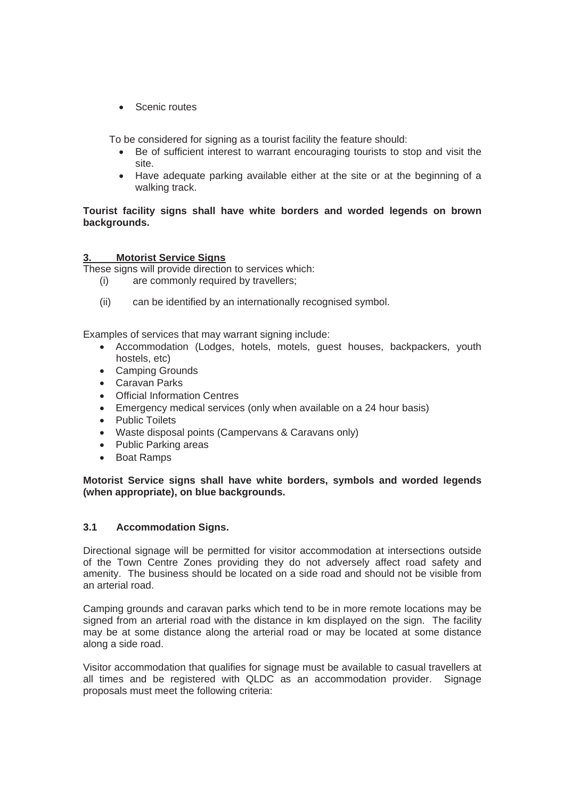Scenic routes

To be considered for signing as a tourist facility the feature should:

- Be of sufficient interest to warrant encouraging tourists to stop and visit the site.
- Have adequate parking available either at the site or at the beginning of a walking track.

# **Tourist facility signs shall have white borders and worded legends on brown backgrounds.**

# **3. Motorist Service Signs**

These signs will provide direction to services which:

- (i) are commonly required by travellers;
- (ii) can be identified by an internationally recognised symbol.

Examples of services that may warrant signing include:

- Accommodation (Lodges, hotels, motels, guest houses, backpackers, youth hostels, etc)
- Camping Grounds
- Caravan Parks
- Official Information Centres
- Emergency medical services (only when available on a 24 hour basis)
- Public Toilets
- Waste disposal points (Campervans & Caravans only)
- Public Parking areas
- Boat Ramps

# **Motorist Service signs shall have white borders, symbols and worded legends (when appropriate), on blue backgrounds.**

# **3.1 Accommodation Signs.**

Directional signage will be permitted for visitor accommodation at intersections outside of the Town Centre Zones providing they do not adversely affect road safety and amenity. The business should be located on a side road and should not be visible from an arterial road.

Camping grounds and caravan parks which tend to be in more remote locations may be signed from an arterial road with the distance in km displayed on the sign. The facility may be at some distance along the arterial road or may be located at some distance along a side road.

Visitor accommodation that qualifies for signage must be available to casual travellers at all times and be registered with QLDC as an accommodation provider. Signage proposals must meet the following criteria: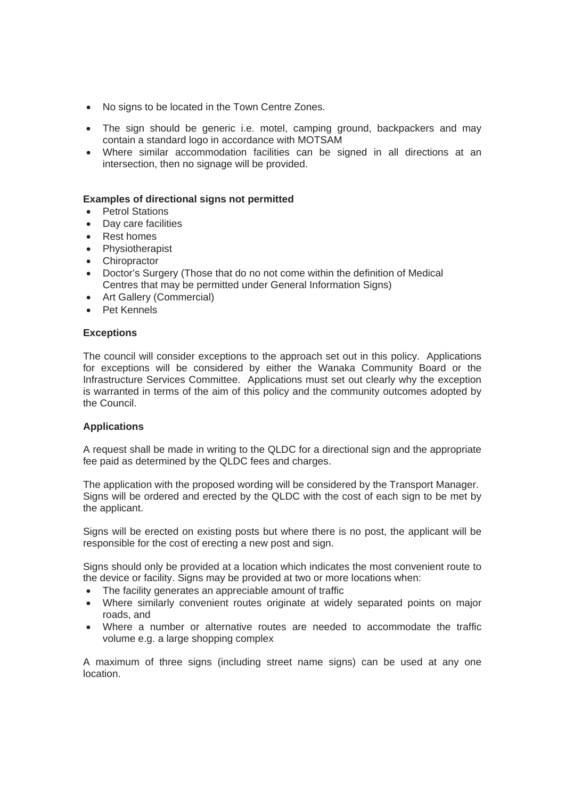- No signs to be located in the Town Centre Zones.
- The sign should be generic i.e. motel, camping ground, backpackers and may contain a standard logo in accordance with MOTSAM
- Where similar accommodation facilities can be signed in all directions at an intersection, then no signage will be provided.

#### **Examples of directional signs not permitted**

- Petrol Stations
- Day care facilities
- Rest homes
- Physiotherapist
- Chiropractor
- Doctor's Surgery (Those that do no not come within the definition of Medical Centres that may be permitted under General Information Signs)
- Art Gallery (Commercial)
- $\bullet$  Pet Kennels

#### **Exceptions**

The council will consider exceptions to the approach set out in this policy. Applications for exceptions will be considered by either the Wanaka Community Board or the Infrastructure Services Committee. Applications must set out clearly why the exception is warranted in terms of the aim of this policy and the community outcomes adopted by the Council.

### **Applications**

A request shall be made in writing to the QLDC for a directional sign and the appropriate fee paid as determined by the QLDC fees and charges.

The application with the proposed wording will be considered by the Transport Manager. Signs will be ordered and erected by the QLDC with the cost of each sign to be met by the applicant.

Signs will be erected on existing posts but where there is no post, the applicant will be responsible for the cost of erecting a new post and sign.

Signs should only be provided at a location which indicates the most convenient route to the device or facility. Signs may be provided at two or more locations when:

- The facility generates an appreciable amount of traffic
- Where similarly convenient routes originate at widely separated points on major roads, and
- Where a number or alternative routes are needed to accommodate the traffic volume e.g. a large shopping complex

A maximum of three signs (including street name signs) can be used at any one location.